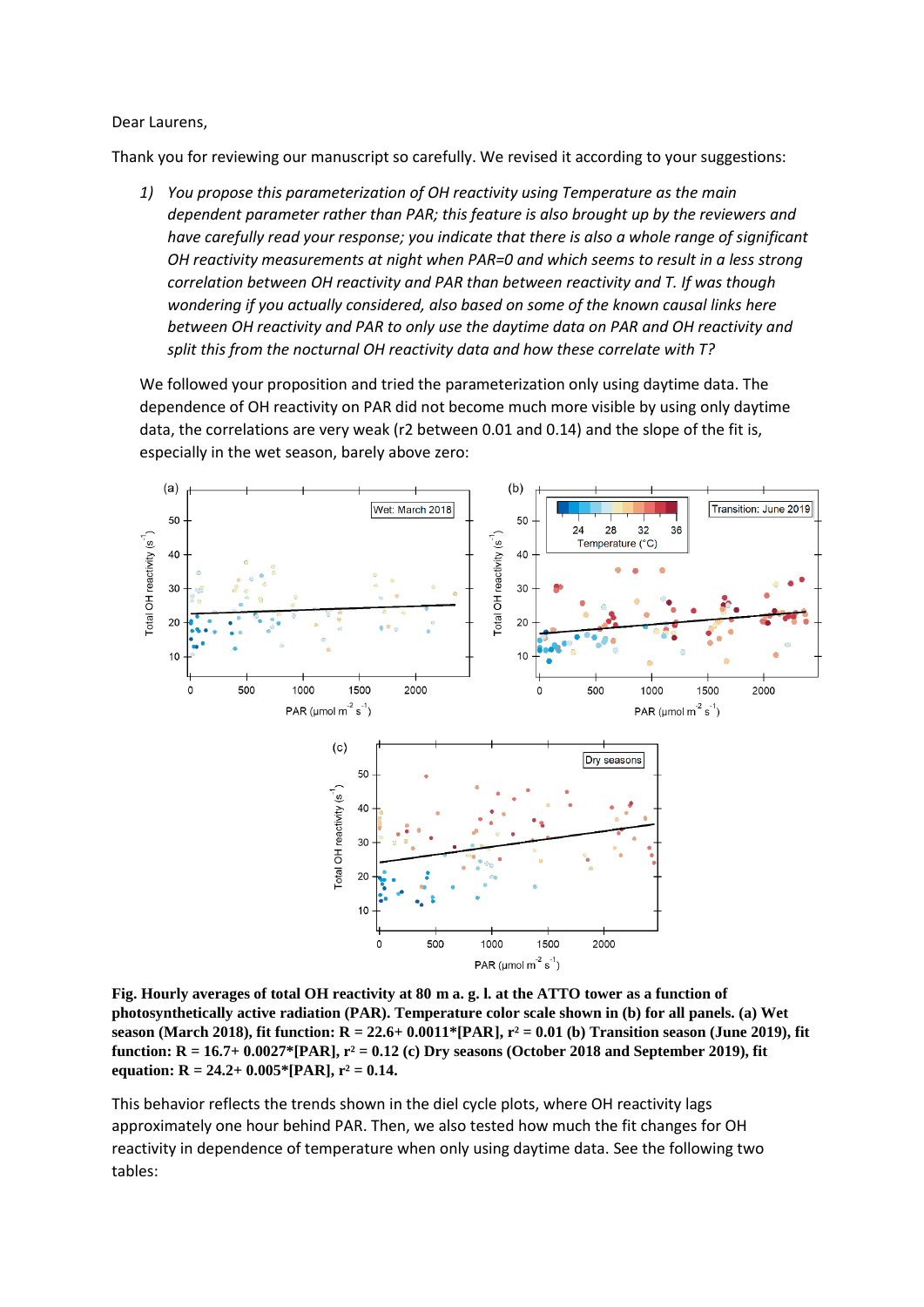Dear Laurens,

Thank you for reviewing our manuscript so carefully. We revised it according to your suggestions:

*1) You propose this parameterization of OH reactivity using Temperature as the main dependent parameter rather than PAR; this feature is also brought up by the reviewers and have carefully read your response; you indicate that there is also a whole range of significant OH reactivity measurements at night when PAR=0 and which seems to result in a less strong correlation between OH reactivity and PAR than between reactivity and T. If was though wondering if you actually considered, also based on some of the known causal links here between OH reactivity and PAR to only use the daytime data on PAR and OH reactivity and split this from the nocturnal OH reactivity data and how these correlate with T?*

We followed your proposition and tried the parameterization only using daytime data. The dependence of OH reactivity on PAR did not become much more visible by using only daytime data, the correlations are very weak (r2 between 0.01 and 0.14) and the slope of the fit is, especially in the wet season, barely above zero:



**Fig. Hourly averages of total OH reactivity at 80 m a. g. l. at the ATTO tower as a function of photosynthetically active radiation (PAR). Temperature color scale shown in (b) for all panels. (a) Wet season (March 2018), fit function: R = 22.6+ 0.0011\*[PAR], r² = 0.01 (b) Transition season (June 2019), fit function: R = 16.7+ 0.0027\*[PAR], r² = 0.12 (c) Dry seasons (October 2018 and September 2019), fit equation: R = 24.2+ 0.005\*[PAR], r² = 0.14.**

This behavior reflects the trends shown in the diel cycle plots, where OH reactivity lags approximately one hour behind PAR. Then, we also tested how much the fit changes for OH reactivity in dependence of temperature when only using daytime data. See the following two tables: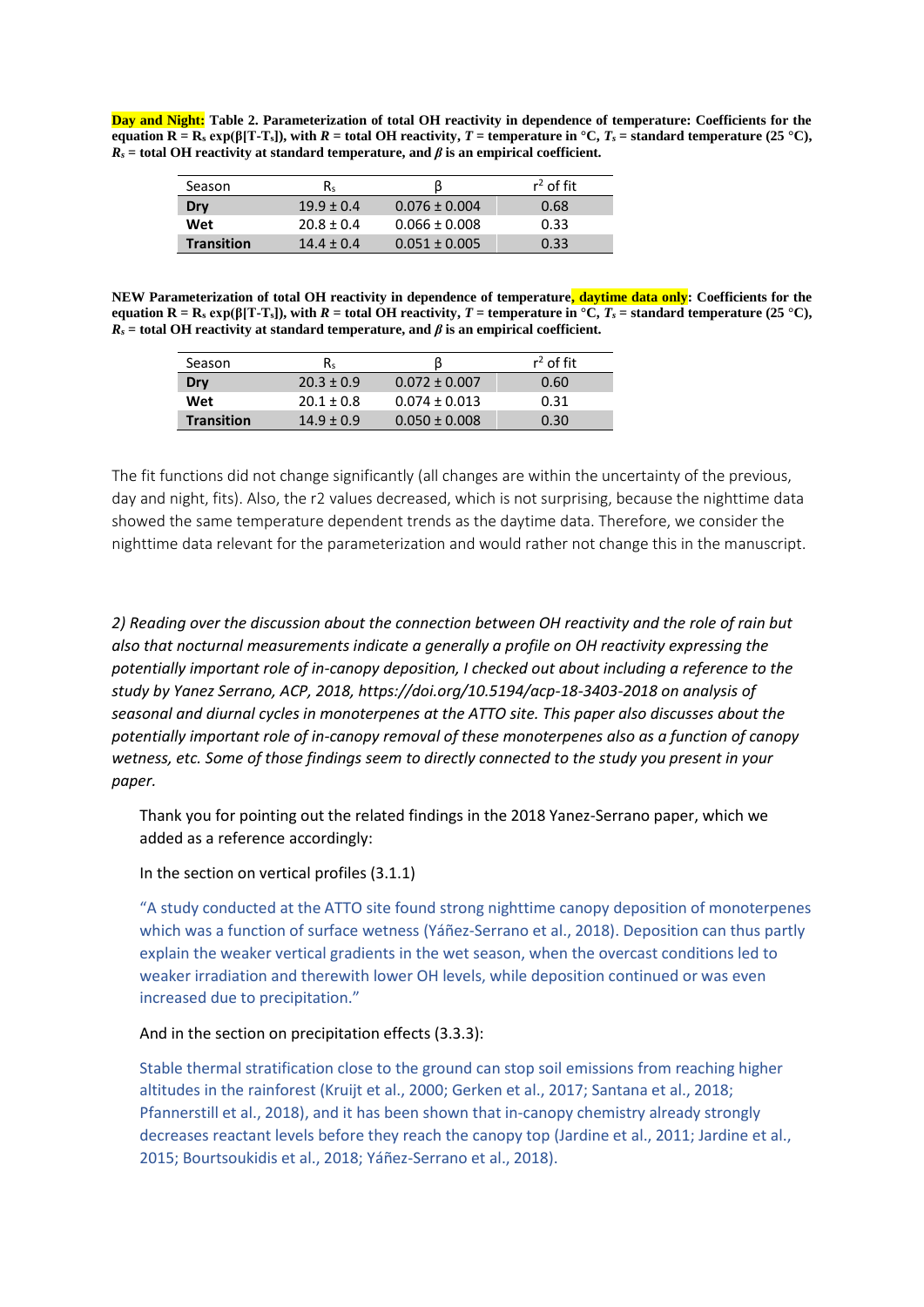**Day and Night: Table 2. Parameterization of total OH reactivity in dependence of temperature: Coefficients for the equation R = R**<sub>s</sub> **exp(β[T-T**<sub>s</sub>]), with *R* = total OH reactivity, *T* = temperature in  ${}^{\circ}$ C, *T*<sub>*s*</sub> = standard temperature (25  ${}^{\circ}$ C),  $R_s$  = total OH reactivity at standard temperature, and  $\beta$  is an empirical coefficient.

| Season            | Rs             |                   | $r^2$ of fit |
|-------------------|----------------|-------------------|--------------|
| Dry               | $19.9 \pm 0.4$ | $0.076 \pm 0.004$ | 0.68         |
| Wet               | $70.8 + 0.4$   | $0.066 \pm 0.008$ | 0.33         |
| <b>Transition</b> | $14.4 + 0.4$   | $0.051 \pm 0.005$ | 0.33         |

**NEW Parameterization of total OH reactivity in dependence of temperature, daytime data only: Coefficients for the equation R = R**<sub>s</sub> **exp(β[T-T**<sub>s</sub>]), with *R* = total OH reactivity, *T* = temperature in  ${}^{\circ}C$ , *T*<sub>*s*</sub> = standard temperature (25  ${}^{\circ}C$ ), *R<sup>s</sup>* **= total OH reactivity at standard temperature, and** *β* **is an empirical coefficient.**

| Season            | R٠             |                   | $r^2$ of fit |
|-------------------|----------------|-------------------|--------------|
| Dry               | $20.3 \pm 0.9$ | $0.072 \pm 0.007$ | 0.60         |
| Wet               | $20.1 \pm 0.8$ | $0.074 \pm 0.013$ | 0.31         |
| <b>Transition</b> | $14.9 + 0.9$   | $0.050 \pm 0.008$ | 0.30         |

The fit functions did not change significantly (all changes are within the uncertainty of the previous, day and night, fits). Also, the r2 values decreased, which is not surprising, because the nighttime data showed the same temperature dependent trends as the daytime data. Therefore, we consider the nighttime data relevant for the parameterization and would rather not change this in the manuscript.

*2) Reading over the discussion about the connection between OH reactivity and the role of rain but also that nocturnal measurements indicate a generally a profile on OH reactivity expressing the potentially important role of in-canopy deposition, I checked out about including a reference to the study by Yanez Serrano, ACP, 2018, https://doi.org/10.5194/acp-18-3403-2018 on analysis of seasonal and diurnal cycles in monoterpenes at the ATTO site. This paper also discusses about the potentially important role of in-canopy removal of these monoterpenes also as a function of canopy wetness, etc. Some of those findings seem to directly connected to the study you present in your paper.*

Thank you for pointing out the related findings in the 2018 Yanez-Serrano paper, which we added as a reference accordingly:

In the section on vertical profiles (3.1.1)

"A study conducted at the ATTO site found strong nighttime canopy deposition of monoterpenes which was a function of surface wetness (Yáñez-Serrano et al., 2018). Deposition can thus partly explain the weaker vertical gradients in the wet season, when the overcast conditions led to weaker irradiation and therewith lower OH levels, while deposition continued or was even increased due to precipitation."

## And in the section on precipitation effects (3.3.3):

Stable thermal stratification close to the ground can stop soil emissions from reaching higher altitudes in the rainforest (Kruijt et al., 2000; Gerken et al., 2017; Santana et al., 2018; Pfannerstill et al., 2018), and it has been shown that in-canopy chemistry already strongly decreases reactant levels before they reach the canopy top (Jardine et al., 2011; Jardine et al., 2015; Bourtsoukidis et al., 2018; Yáñez-Serrano et al., 2018).